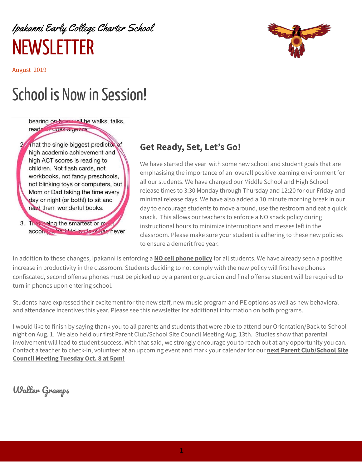## Ipakanni Early College Charter School **NEWSLETTER**

August 2019

# School is Now in Session!

bearing on **boundary of the walks**, talks,

read of does algebra.

That the single biggest predictor of high academic achievement and high ACT scores is reading to children. Not flash cards, not workbooks, not fancy preschools, not blinking toys or computers, but Mom or Dad taking the time every day or night (or both!) to sit and read them wonderful books.

3. The Seing the smartest or m accommunication in the has never

## **Get Ready, Set, Let's Go!**

We have started the year with some new school and student goals that are emphasising the importance of an overall positive learning environment for all our students. We have changed our Middle School and High School release times to 3:30 Monday through Thursday and 12:20 for our Friday and minimal release days. We have also added a 10 minute morning break in our day to encourage students to move around, use the restroom and eat a quick snack. This allows our teachers to enforce a NO snack policy during instructional hours to minimize interruptions and messes left in the classroom. Please make sure your student is adhering to these new policies to ensure a demerit free year.

In addition to these changes, Ipakanni is enforcing a **NO cell phone policy** for all students. We have already seen a positive increase in productivity in the classroom. Students deciding to not comply with the new policy will first have phones confiscated, second offense phones must be picked up by a parent or guardian and final offense student will be required to turn in phones upon entering school.

Students have expressed their excitement for the new staff, new music program and PE options as well as new behavioral and attendance incentives this year. Please see this newsletter for additional information on both programs.

I would like to finish by saying thank you to all parents and students that were able to attend our Orientation/Back to School night on Aug. 1. We also held our first Parent Club/School Site Council Meeting Aug. 13th. Studies show that parental involvement will lead to student success. With that said, we strongly encourage you to reach out at any opportunity you can. Contact a teacher to check-in, volunteer at an upcoming event and mark your calendar for our **next Parent Club/School Site Council Meeting Tuesday Oct. 8 at 5pm!**

Walter Gramps

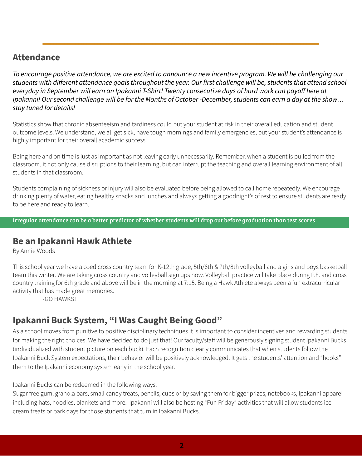#### **Attendance**

To encourage positive attendance, we are excited to announce a new incentive program. We will be challenging our students with different attendance goals throughout the year. Our first challenge will be, students that attend school everyday in September will earn an Ipakanni T-Shirt! Twenty consecutive days of hard work can payoff here at Ipakanni! Our second challenge will be for the Months of October -December, students can earn a day at the show... *stay tuned for details!*

Statistics show that chronic absenteeism and tardiness could put your student at risk in their overall education and student outcome levels. We understand, we all get sick, have tough mornings and family emergencies, but your student's attendance is highly important for their overall academic success.

Being here and on time is just as important as not leaving early unnecessarily. Remember, when a student is pulled from the classroom, it not only cause disruptions to their learning, but can interrupt the teaching and overall learning environment of all students in that classroom.

Students complaining of sickness or injury will also be evaluated before being allowed to call home repeatedly. We encourage drinking plenty of water, eating healthy snacks and lunches and always getting a goodnight's of rest to ensure students are ready to be here and ready to learn.

Irregular attendance can be a better predictor of whether students will drop out before graduation than test scores

#### **Be an Ipakanni Hawk Athlete**

By Annie Woods

This school year we have a coed cross country team for K-12th grade, 5th/6th & 7th/8th volleyball and a girls and boys basketball team this winter. We are taking cross country and volleyball sign ups now. Volleyball practice will take place during P.E. and cross country training for 6th grade and above will be in the morning at 7:15. Being a Hawk Athlete always been a fun extracurricular activity that has made great memories.

-GO HAWKS!

## **Ipakanni Buck System, "I Was Caught Being Good"**

As a school moves from punitive to positive disciplinary techniques it is important to consider incentives and rewarding students for making the right choices. We have decided to do just that! Our faculty/staff will be generously signing student Ipakanni Bucks (individualized with student picture on each buck). Each recognition clearly communicates that when students follow the Ipakanni Buck System expectations, their behavior will be positively acknowledged. It gets the students' attention and "hooks" them to the Ipakanni economy system early in the school year.

Ipakanni Bucks can be redeemed in the following ways:

Sugar free gum, granola bars, small candy treats, pencils, cups or by saving them for bigger prizes, notebooks, Ipakanni apparel including hats, hoodies, blankets and more. Ipakanni will also be hosting "Fun Friday" activities that will allow students ice cream treats or park days for those students that turn in Ipakanni Bucks.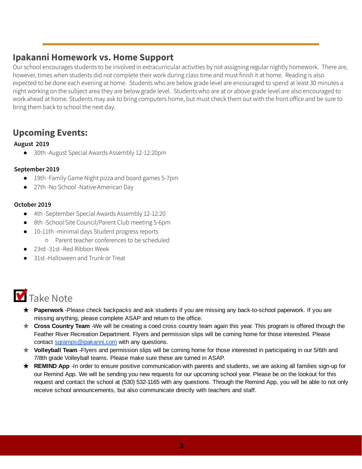### **Ipakanni Homework vs. Home Support**

Our school encourages students to be involved in extracurricular activities by not assigning regular nightly homework. There are, however, times when students did not complete their work during class time and must finish it at home. Reading is also expected to be done each evening at home. Students who are below grade level are encouraged to spend at least 30 minutes a night working on the subject area they are below grade level. Students who are at or above grade level are also encouraged to work ahead at home. Students may ask to bring computers home, but must check them out with the front office and be sure to bring them back to school the next day.

## **Upcoming Events:**

#### **August 2019**

30th -August Special Awards Assembly 12-12:20pm

#### **September 2019**

- 19th -Family Game Night pizza and board games 5-7pm
- 27th -No School -Native American Day

#### **October 2019**

- 4th -September Special Awards Assembly 12-12:20
- 8th -School Site Council/Parent Club meeting 5-6pm
- 10-11th -minimal days Student progress reports
	- Parent teacher conferences to be scheduled
- 23rd -31st -Red Ribbon Week
- 31st -Halloween and Trunk or Treat

## **V** Take Note

- ★ **Paperwork** -Please check backpacks and ask students if you are missing any back-to-school paperwork. If you are missing anything, please complete ASAP and return to the office.
- ★ **Cross Country Team** -We will be creating a coed cross country team again this year. This program is offered through the Feather River Recreation Department. Flyers and permission slips will be coming home for those interested. Please contact [sgramps@ipakanni.com](mailto:sgramps@ipakanni.com) with any questions.
- ★ **Volleyball Team** -Flyers and permission slips will be coming home for those interested in participating in our 5/6th and 7/8th grade Volleyball teams. Please make sure these are turned in ASAP.
- ★ **REMIND App** -In order to ensure positive communication with parents and students, we are asking all families sign-up for our Remind App. We will be sending you new requests for our upcoming school year. Please be on the lookout for this request and contact the school at (530) 532-1165 with any questions. Through the Remind App, you will be able to not only receive school announcements, but also communicate directly with teachers and staff.